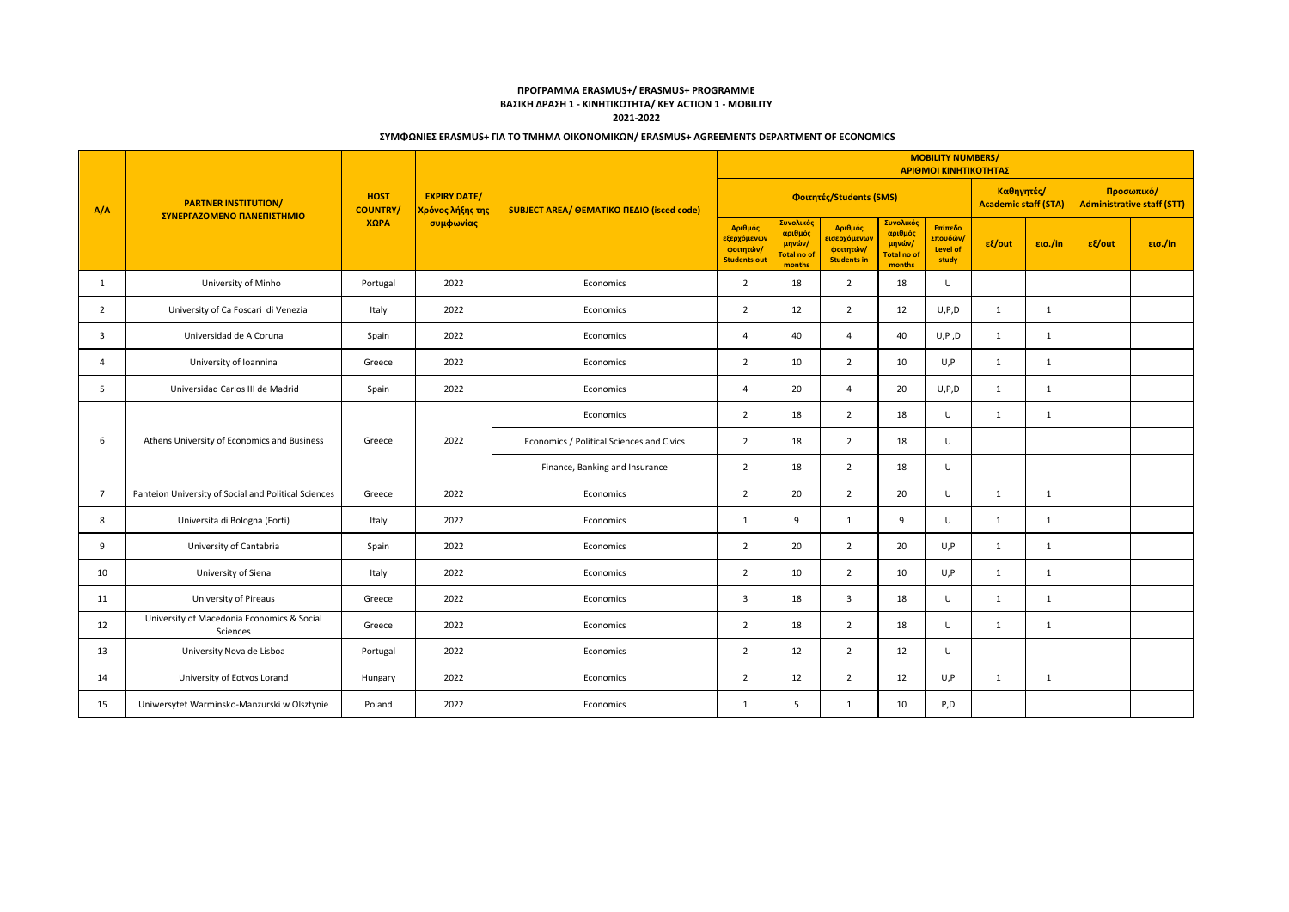# **ΠΡΟΓΡΑΜΜΑ ERASMUS+/ ERASMUS+ PROGRAMME ΒΑΣΙΚΗ ΔΡΑΣΗ 1 - ΚΙΝΗΤΙΚΟΤΗΤΑ/ KEY ACTION 1 - MOBILITY 2021-2022**

### **ΣΥΜΦΩΝΙΕΣ ERASMUS+ ΓΙΑ ΤΟ ΤΜΗΜΑ ΟΙΚΟΝΟΜΙΚΩΝ/ ERASMUS+ AGREEMENTS DEPARTMENT OF ECONOMICS**

|                         | <b>PARTNER INSTITUTION/</b><br>ΣΥΝΕΡΓΑΖΟΜΕΝΟ ΠΑΝΕΠΙΣΤΗΜΙΟ | <b>HOST</b><br><b>COUNTRY/</b><br>ΧΩРА | <b>EXPIRY DATE/</b><br>Χρόνος λήξης της<br>συμφωνίας | SUBJECT AREA/ OEMATIKO ΠΕΔΙΟ (isced code) | <b>MOBILITY NUMBERS/</b><br>ΑΡΙΘΜΟΙ ΚΙΝΗΤΙΚΟΤΗΤΑΣ          |                                                         |                                                                          |                                                         |                                                              |                                           |              |                                                 |                   |
|-------------------------|-----------------------------------------------------------|----------------------------------------|------------------------------------------------------|-------------------------------------------|------------------------------------------------------------|---------------------------------------------------------|--------------------------------------------------------------------------|---------------------------------------------------------|--------------------------------------------------------------|-------------------------------------------|--------------|-------------------------------------------------|-------------------|
| A/A                     |                                                           |                                        |                                                      |                                           | Φοιτητές/Students (SMS)                                    |                                                         |                                                                          |                                                         |                                                              | Καθηγητές/<br><b>Academic staff (STA)</b> |              | Προσωπικό/<br><b>Administrative staff (STT)</b> |                   |
|                         |                                                           |                                        |                                                      |                                           | Αριθμός<br>εξερχόμενων<br>φοιτητών/<br><b>Students out</b> | Συνολικός<br>αριθμός<br>μηνών/<br>Total no of<br>months | Αριθμός<br>εισερχόμενω <mark>ν</mark><br>φοιτητών/<br><b>Students in</b> | Συνολικός<br>αριθμός<br>μηνών/<br>Total no of<br>months | Επίπεδο<br><mark>Σπουδών/</mark><br><b>Level of</b><br>study | εξ/out                                    | εισ./in      | $ε$ {/out                                       | $\epsilon$ ισ./in |
| 1                       | University of Minho                                       | Portugal                               | 2022                                                 | Economics                                 | $\overline{2}$                                             | 18                                                      | 2                                                                        | 18                                                      | U                                                            |                                           |              |                                                 |                   |
| 2                       | University of Ca Foscari di Venezia                       | Italy                                  | 2022                                                 | Economics                                 | 2                                                          | 12                                                      | 2                                                                        | 12                                                      | U, P, D                                                      | 1                                         | 1            |                                                 |                   |
| $\overline{\mathbf{3}}$ | Universidad de A Coruna                                   | Spain                                  | 2022                                                 | Economics                                 | $\overline{a}$                                             | 40                                                      | $\overline{4}$                                                           | 40                                                      | U, P, D                                                      | 1                                         | 1            |                                                 |                   |
| $\overline{4}$          | University of Ioannina                                    | Greece                                 | 2022                                                 | Economics                                 | $\overline{2}$                                             | 10                                                      | $\overline{2}$                                                           | 10                                                      | U, P                                                         | 1                                         | $\mathbf{1}$ |                                                 |                   |
| 5                       | Universidad Carlos III de Madrid                          | Spain                                  | 2022                                                 | Economics                                 | $\overline{a}$                                             | 20                                                      | $\overline{4}$                                                           | 20                                                      | U, P, D                                                      | 1                                         | $\mathbf{1}$ |                                                 |                   |
|                         | Athens University of Economics and Business               | Greece                                 | 2022                                                 | Economics                                 | 2                                                          | 18                                                      | 2                                                                        | 18                                                      | U                                                            | 1                                         | 1            |                                                 |                   |
| 6                       |                                                           |                                        |                                                      | Economics / Political Sciences and Civics | $\overline{2}$                                             | 18                                                      | $\overline{2}$                                                           | 18                                                      | U                                                            |                                           |              |                                                 |                   |
|                         |                                                           |                                        |                                                      | Finance, Banking and Insurance            | $\overline{2}$                                             | 18                                                      | $\overline{2}$                                                           | 18                                                      | $\sf U$                                                      |                                           |              |                                                 |                   |
| $\overline{7}$          | Panteion University of Social and Political Sciences      | Greece                                 | 2022                                                 | Economics                                 | $\overline{2}$                                             | 20                                                      | $\overline{2}$                                                           | 20                                                      | U                                                            | $\mathbf{1}$                              | $\mathbf{1}$ |                                                 |                   |
| 8                       | Universita di Bologna (Forti)                             | Italy                                  | 2022                                                 | Economics                                 | 1                                                          | 9                                                       | $\mathbf{1}$                                                             | 9                                                       | U                                                            | 1                                         | $\mathbf{1}$ |                                                 |                   |
| 9                       | University of Cantabria                                   | Spain                                  | 2022                                                 | Economics                                 | $\overline{2}$                                             | 20                                                      | $\overline{2}$                                                           | 20                                                      | U, P                                                         | 1                                         | $\mathbf{1}$ |                                                 |                   |
| 10                      | University of Siena                                       | Italy                                  | 2022                                                 | Economics                                 | $\overline{2}$                                             | 10                                                      | $\overline{2}$                                                           | 10                                                      | U, P                                                         | 1                                         | 1            |                                                 |                   |
| 11                      | University of Pireaus                                     | Greece                                 | 2022                                                 | Economics                                 | $\overline{3}$                                             | 18                                                      | $\overline{\mathbf{3}}$                                                  | 18                                                      | $\cup$                                                       | 1                                         | 1            |                                                 |                   |
| 12                      | University of Macedonia Economics & Social<br>Sciences    | Greece                                 | 2022                                                 | Economics                                 | $\overline{2}$                                             | 18                                                      | 2                                                                        | 18                                                      | $\sf U$                                                      | 1                                         | 1            |                                                 |                   |
| 13                      | University Nova de Lisboa                                 | Portugal                               | 2022                                                 | Economics                                 | $\overline{2}$                                             | 12                                                      | $\overline{2}$                                                           | 12                                                      | $\sf U$                                                      |                                           |              |                                                 |                   |
| 14                      | University of Eotvos Lorand                               | Hungary                                | 2022                                                 | Economics                                 | $\overline{2}$                                             | 12                                                      | 2                                                                        | 12                                                      | U, P                                                         | 1                                         | 1            |                                                 |                   |
| 15                      | Uniwersytet Warminsko-Manzurski w Olsztynie               | Poland                                 | 2022                                                 | Economics                                 | 1                                                          | 5                                                       | 1                                                                        | 10                                                      | P,D                                                          |                                           |              |                                                 |                   |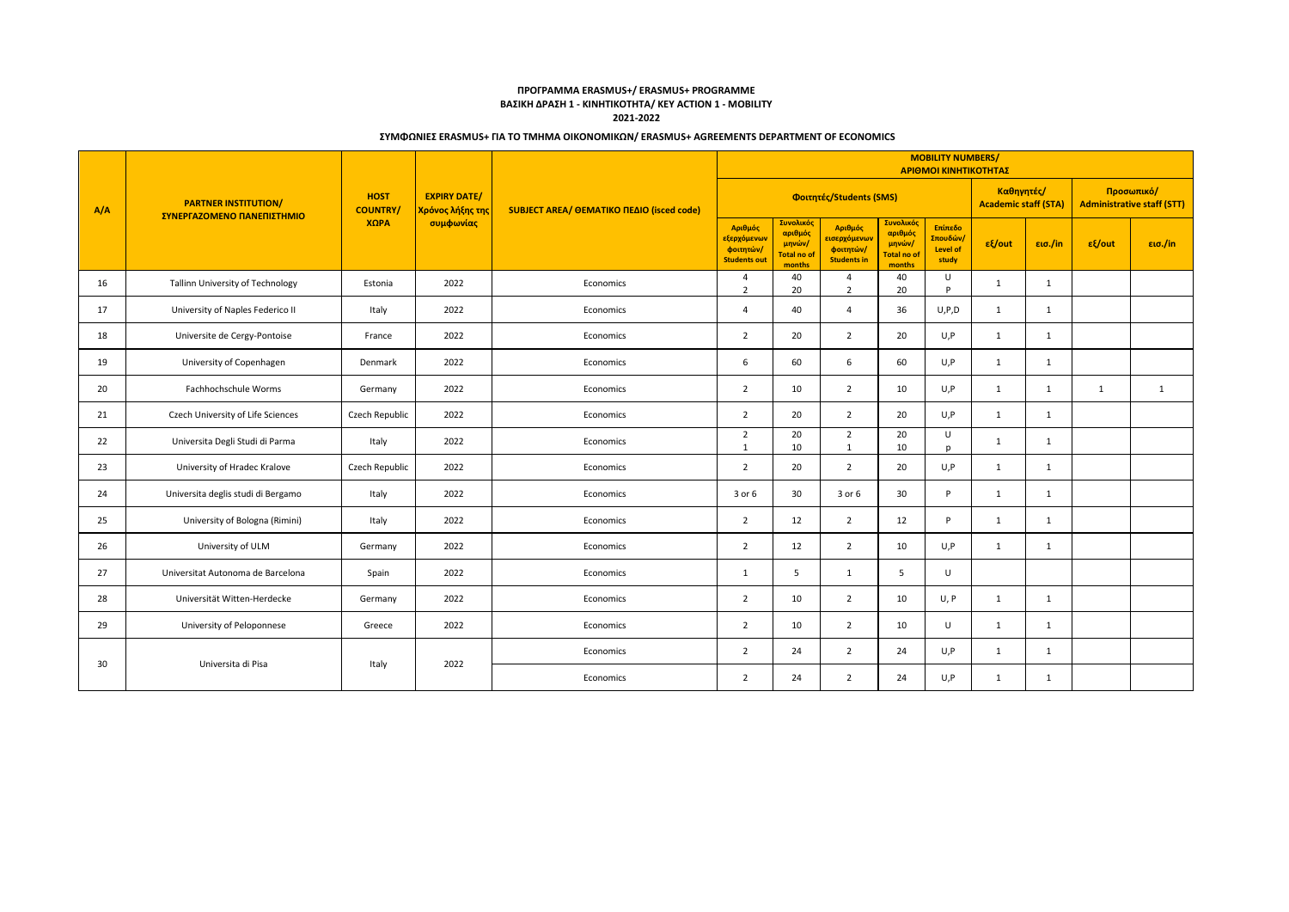# **ΠΡΟΓΡΑΜΜΑ ERASMUS+/ ERASMUS+ PROGRAMME ΒΑΣΙΚΗ ΔΡΑΣΗ 1 - ΚΙΝΗΤΙΚΟΤΗΤΑ/ KEY ACTION 1 - MOBILITY 2021-2022**

### **ΣΥΜΦΩΝΙΕΣ ERASMUS+ ΓΙΑ ΤΟ ΤΜΗΜΑ ΟΙΚΟΝΟΜΙΚΩΝ/ ERASMUS+ AGREEMENTS DEPARTMENT OF ECONOMICS**

| A/A | <b>PARTNER INSTITUTION/</b><br>ΣΥΝΕΡΓΑΖΟΜΕΝΟ ΠΑΝΕΠΙΣΤΗΜΙΟ | <b>HOST</b><br><b>COUNTRY/</b><br>XQPA | <b>EXPIRY DATE/</b><br>Χρόνος λήξης της<br>συμφωνίας | SUBJECT AREA/ OEMATIKO ΠΕΔΙΟ (isced code) | <b>MOBILITY NUMBERS/</b><br>ΑΡΙΘΜΟΙ ΚΙΝΗΤΙΚΟΤΗΤΑΣ                       |                                                         |                                                            |                                                         |                                                              |                                           |              |                                                 |         |
|-----|-----------------------------------------------------------|----------------------------------------|------------------------------------------------------|-------------------------------------------|-------------------------------------------------------------------------|---------------------------------------------------------|------------------------------------------------------------|---------------------------------------------------------|--------------------------------------------------------------|-------------------------------------------|--------------|-------------------------------------------------|---------|
|     |                                                           |                                        |                                                      |                                           | Φοιτητές/Students (SMS)                                                 |                                                         |                                                            |                                                         |                                                              | Καθηγητές/<br><b>Academic staff (STA)</b> |              | Προσωπικό/<br><b>Administrative staff (STT)</b> |         |
|     |                                                           |                                        |                                                      |                                           | Αριθμός<br><mark>εξερχόμενων</mark><br>φοιτητών/<br><b>Students out</b> | Συνολικός<br>αριθμός<br>μηνών/<br>Total no of<br>months | Αριθμός<br>εισερχόμενων<br>φοιτητών/<br><b>Students in</b> | Συνολικός<br>αριθμός<br>μηνών/<br>Total no of<br>months | Επίπεδο<br><mark>Σπουδών/</mark><br><b>Level of</b><br>study | εξ/out                                    | εισ./in      | εξ/out                                          | εισ./in |
| 16  | Tallinn University of Technology                          | Estonia                                | 2022                                                 | Economics                                 | $\overline{4}$<br>$\overline{2}$                                        | 40<br>20                                                | $\overline{a}$<br>$\overline{2}$                           | 40<br>20                                                | U<br>P                                                       | 1                                         | 1            |                                                 |         |
| 17  | University of Naples Federico II                          | Italy                                  | 2022                                                 | Economics                                 | $\overline{4}$                                                          | 40                                                      | $\overline{4}$                                             | 36                                                      | U, P, D                                                      | 1                                         | 1            |                                                 |         |
| 18  | Universite de Cergy-Pontoise                              | France                                 | 2022                                                 | Economics                                 | $\overline{2}$                                                          | 20                                                      | $\overline{2}$                                             | 20                                                      | U, P                                                         | 1                                         | 1            |                                                 |         |
| 19  | University of Copenhagen                                  | Denmark                                | 2022                                                 | Economics                                 | 6                                                                       | 60                                                      | 6                                                          | 60                                                      | U, P                                                         | 1                                         | 1            |                                                 |         |
| 20  | Fachhochschule Worms                                      | Germany                                | 2022                                                 | Economics                                 | $\overline{2}$                                                          | 10                                                      | 2                                                          | 10                                                      | U, P                                                         | 1                                         | 1            | 1                                               | 1       |
| 21  | Czech University of Life Sciences                         | Czech Republic                         | 2022                                                 | Economics                                 | $\overline{2}$                                                          | 20                                                      | $\overline{2}$                                             | 20                                                      | U, P                                                         | 1                                         | $\mathbf{1}$ |                                                 |         |
| 22  | Universita Degli Studi di Parma                           | Italy                                  | 2022                                                 | Economics                                 | $\overline{2}$<br>$\mathbf{1}$                                          | 20<br>10                                                | $\overline{2}$<br>1                                        | 20<br>10                                                | U<br>p                                                       | $\mathbf{1}$                              | 1            |                                                 |         |
| 23  | University of Hradec Kralove                              | Czech Republic                         | 2022                                                 | Economics                                 | $\overline{2}$                                                          | 20                                                      | 2                                                          | 20                                                      | U, P                                                         | 1                                         | 1            |                                                 |         |
| 24  | Universita deglis studi di Bergamo                        | Italy                                  | 2022                                                 | Economics                                 | 3 or 6                                                                  | 30                                                      | 3 or 6                                                     | 30                                                      | P                                                            | 1                                         | 1            |                                                 |         |
| 25  | University of Bologna (Rimini)                            | Italy                                  | 2022                                                 | Economics                                 | 2                                                                       | 12                                                      | 2                                                          | 12                                                      | P                                                            | 1                                         | $\mathbf{1}$ |                                                 |         |
| 26  | University of ULM                                         | Germany                                | 2022                                                 | Economics                                 | $\overline{2}$                                                          | 12                                                      | $\overline{2}$                                             | 10                                                      | U, P                                                         | 1                                         | 1            |                                                 |         |
| 27  | Universitat Autonoma de Barcelona                         | Spain                                  | 2022                                                 | Economics                                 | 1                                                                       | 5                                                       | 1                                                          | .5                                                      | U                                                            |                                           |              |                                                 |         |
| 28  | Universität Witten-Herdecke                               | Germany                                | 2022                                                 | Economics                                 | $\overline{2}$                                                          | 10                                                      | $\overline{2}$                                             | 10                                                      | U, P                                                         | 1                                         | 1            |                                                 |         |
| 29  | University of Peloponnese                                 | Greece                                 | 2022                                                 | Economics                                 | $\overline{2}$                                                          | 10                                                      | $\overline{2}$                                             | 10                                                      | U                                                            | 1                                         | 1            |                                                 |         |
| 30  |                                                           |                                        | 2022                                                 | Economics                                 | $\overline{2}$                                                          | 24                                                      | 2                                                          | 24                                                      | U, P                                                         | 1                                         | 1            |                                                 |         |
|     | Universita di Pisa                                        | Italy                                  |                                                      | Economics                                 | $\overline{2}$                                                          | 24                                                      | $\overline{2}$                                             | 24                                                      | U, P                                                         | 1                                         | 1            |                                                 |         |